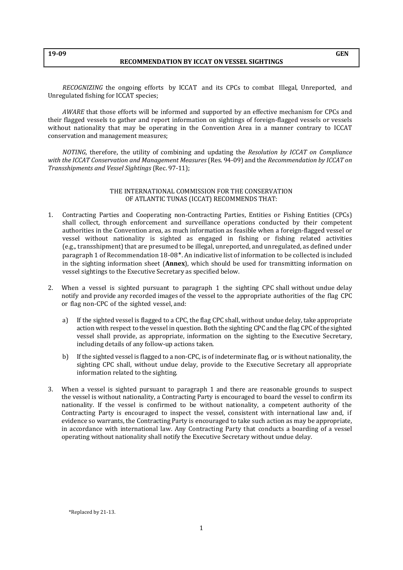## **19-09 GEN**

## **RECOMMENDATION BY ICCAT ON VESSEL SIGHTINGS**

*RECOGNIZING* the ongoing efforts by ICCAT and its CPCs to combat Illegal, Unreported, and Unregulated fishing for ICCAT species;

*AWARE* that those efforts will be informed and supported by an effective mechanism for CPCs and their flagged vessels to gather and report information on sightings of foreign-flagged vessels or vessels without nationality that may be operating in the Convention Area in a manner contrary to ICCAT conservation and management measures;

*NOTING*, therefore, the utility of combining and updating the *Resolution by ICCAT on Compliance with the ICCAT Conservation and Management Measures* (Res. 94-09) and the *Recommendation by ICCAT on Transshipments and Vessel Sightings* (Rec. 97-11);

## THE INTERNATIONAL COMMISSION FOR THE CONSERVATION OF ATLANTIC TUNAS (ICCAT) RECOMMENDS THAT:

- 1. Contracting Parties and Cooperating non-Contracting Parties, Entities or Fishing Entities (CPCs) shall collect, through enforcement and surveillance operations conducted by their competent authorities in the Convention area, as much information as feasible when a foreign-flagged vessel or vessel without nationality is sighted as engaged in fishing or fishing related activities (e.g., transshipment) that are presumed to be illegal, unreported, and unregulated, as defined under paragraph 1 of Recommendation 18-08\*. An indicative list of information to be collected is included in the sighting information sheet (**Annex**), which should be used for transmitting information on vessel sightings to the Executive Secretary as specified below.
- 2. When a vessel is sighted pursuant to paragraph 1 the sighting CPC shall without undue delay notify and provide any recorded images of the vessel to the appropriate authorities of the flag CPC or flag non-CPC of the sighted vessel, and:
	- a) If the sighted vessel is flagged to a CPC, the flag CPC shall, without undue delay, take appropriate action with respect to the vessel in question. Both the sighting CPC and the flag CPC of the sighted vessel shall provide, as appropriate, information on the sighting to the Executive Secretary, including details of any follow-up actions taken.
	- b) If the sighted vessel is flagged to a non-CPC, is of indeterminate flag, or is without nationality, the sighting CPC shall, without undue delay, provide to the Executive Secretary all appropriate information related to the sighting.
- 3. When a vessel is sighted pursuant to paragraph 1 and there are reasonable grounds to suspect the vessel is without nationality, a Contracting Party is encouraged to board the vessel to confirm its nationality. If the vessel is confirmed to be without nationality, a competent authority of the Contracting Party is encouraged to inspect the vessel, consistent with international law and, if evidence so warrants, the Contracting Party is encouraged to take such action as may be appropriate, in accordance with international law. Any Contracting Party that conducts a boarding of a vessel operating without nationality shall notify the Executive Secretary without undue delay.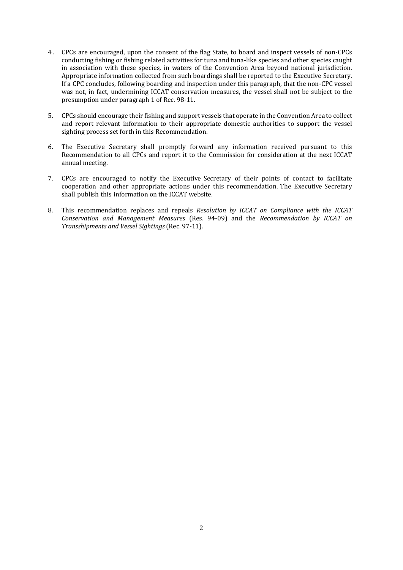- 4 . CPCs are encouraged, upon the consent of the flag State, to board and inspect vessels of non-CPCs conducting fishing or fishing related activities for tuna and tuna-like species and other species caught in association with these species, in waters of the Convention Area beyond national jurisdiction. Appropriate information collected from such boardings shall be reported to the Executive Secretary. If a CPC concludes, following boarding and inspection under this paragraph, that the non-CPC vessel was not, in fact, undermining ICCAT conservation measures, the vessel shall not be subject to the presumption under paragraph 1 of Rec. 98-11.
- 5. CPCs should encourage their fishing and support vessels that operate in the Convention Area to collect and report relevant information to their appropriate domestic authorities to support the vessel sighting process set forth in this Recommendation.
- 6. The Executive Secretary shall promptly forward any information received pursuant to this Recommendation to all CPCs and report it to the Commission for consideration at the next ICCAT annual meeting.
- 7. CPCs are encouraged to notify the Executive Secretary of their points of contact to facilitate cooperation and other appropriate actions under this recommendation. The Executive Secretary shall publish this information on the ICCAT website.
- 8. This recommendation replaces and repeals *Resolution by ICCAT on Compliance with the ICCAT Conservation and Management Measures* (Res. 94-09) and the *Recommendation by ICCAT on Transshipments and Vessel Sightings* (Rec. 97-11).